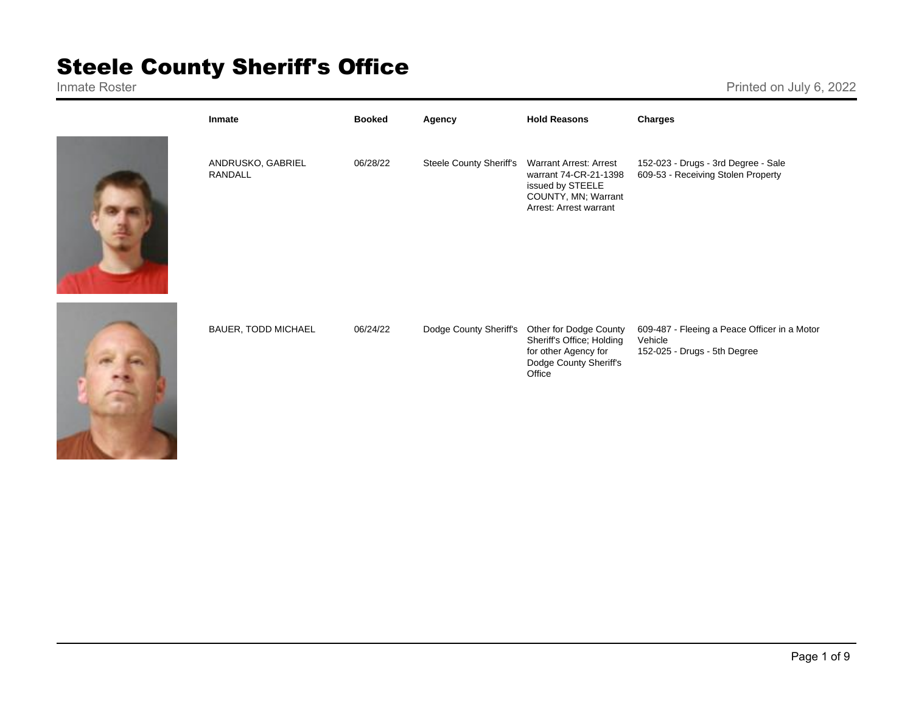## **Steele County Sheriff's Office**

Printed on July 6, 2022



| Inmate                       | <b>Booked</b> | Agency                  | <b>Hold Reasons</b>                                                                                                         | <b>Charges</b>                                                                          |
|------------------------------|---------------|-------------------------|-----------------------------------------------------------------------------------------------------------------------------|-----------------------------------------------------------------------------------------|
| ANDRUSKO, GABRIEL<br>RANDALL | 06/28/22      | Steele County Sheriff's | <b>Warrant Arrest: Arrest</b><br>warrant 74-CR-21-1398<br>issued by STEELE<br>COUNTY, MN; Warrant<br>Arrest: Arrest warrant | 152-023 - Drugs - 3rd Degree - Sale<br>609-53 - Receiving Stolen Property               |
| <b>BAUER, TODD MICHAEL</b>   | 06/24/22      | Dodge County Sheriff's  | Other for Dodge County<br>Sheriff's Office; Holding<br>for other Agency for<br>Dodge County Sheriff's<br>Office             | 609-487 - Fleeing a Peace Officer in a Motor<br>Vehicle<br>152-025 - Drugs - 5th Degree |

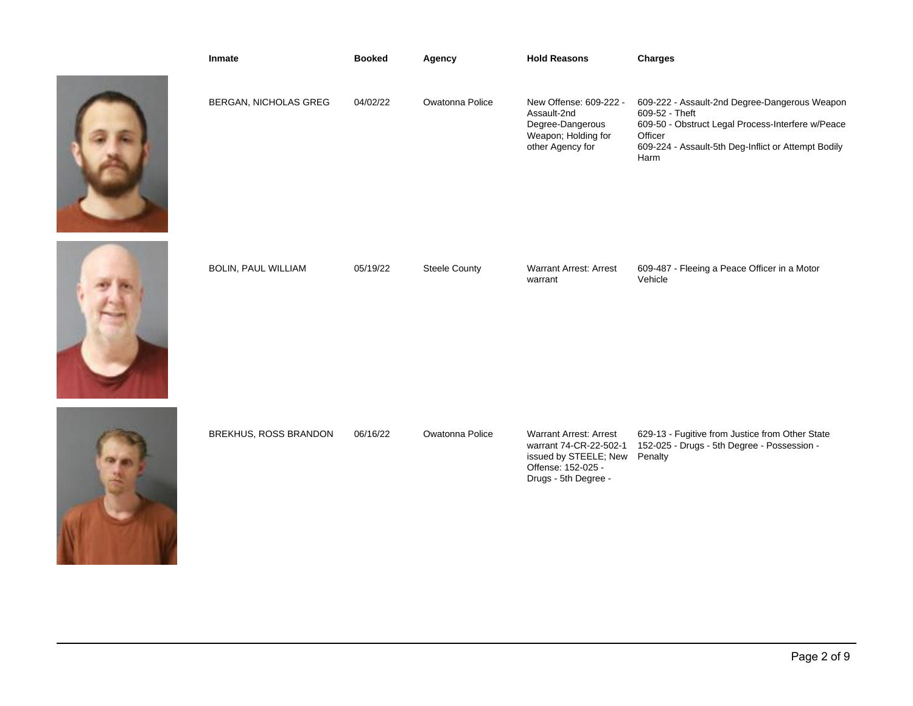

| Inmate                     | <b>Booked</b> | Agency               | <b>Hold Reasons</b>                                                                                                            | Charges                                                                                                                                                                                        |
|----------------------------|---------------|----------------------|--------------------------------------------------------------------------------------------------------------------------------|------------------------------------------------------------------------------------------------------------------------------------------------------------------------------------------------|
| BERGAN, NICHOLAS GREG      | 04/02/22      | Owatonna Police      | New Offense: 609-222 -<br>Assault-2nd<br>Degree-Dangerous<br>Weapon; Holding for<br>other Agency for                           | 609-222 - Assault-2nd Degree-Dangerous Weapon<br>609-52 - Theft<br>609-50 - Obstruct Legal Process-Interfere w/Peace<br>Officer<br>609-224 - Assault-5th Deg-Inflict or Attempt Bodily<br>Harm |
| <b>BOLIN, PAUL WILLIAM</b> | 05/19/22      | <b>Steele County</b> | <b>Warrant Arrest: Arrest</b><br>warrant                                                                                       | 609-487 - Fleeing a Peace Officer in a Motor<br>Vehicle                                                                                                                                        |
| BREKHUS, ROSS BRANDON      | 06/16/22      | Owatonna Police      | <b>Warrant Arrest: Arrest</b><br>warrant 74-CR-22-502-1<br>issued by STEELE; New<br>Offense: 152-025 -<br>Drugs - 5th Degree - | 629-13 - Fugitive from Justice from Other State<br>152-025 - Drugs - 5th Degree - Possession -<br>Penalty                                                                                      |
|                            |               |                      |                                                                                                                                |                                                                                                                                                                                                |



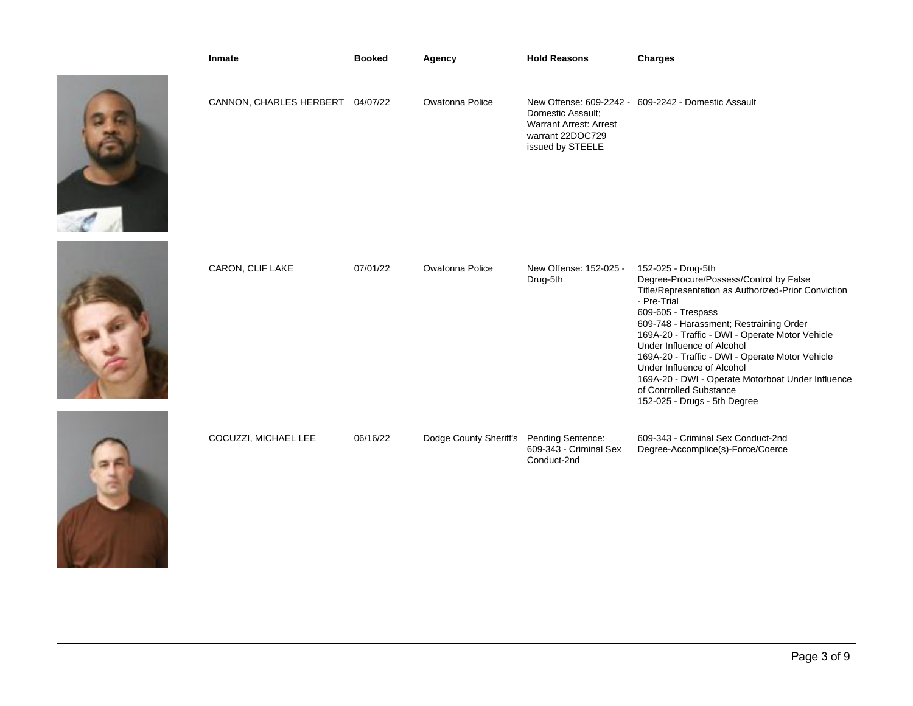

| Inmate                           | <b>Booked</b> | Agency                 | <b>Hold Reasons</b>                                                                        | <b>Charges</b>                                                                                                                                                                                                                                                                                                                                                         |
|----------------------------------|---------------|------------------------|--------------------------------------------------------------------------------------------|------------------------------------------------------------------------------------------------------------------------------------------------------------------------------------------------------------------------------------------------------------------------------------------------------------------------------------------------------------------------|
| CANNON, CHARLES HERBERT 04/07/22 |               | Owatonna Police        | Domestic Assault:<br><b>Warrant Arrest: Arrest</b><br>warrant 22DOC729<br>issued by STEELE | New Offense: 609-2242 - 609-2242 - Domestic Assault                                                                                                                                                                                                                                                                                                                    |
| CARON, CLIF LAKE                 | 07/01/22      | Owatonna Police        | New Offense: 152-025 -<br>Drug-5th                                                         | 152-025 - Drug-5th<br>Degree-Procure/Possess/Control by False<br>Title/Representation as Authorized-Prior Conviction<br>- Pre-Trial<br>609-605 - Trespass<br>609-748 - Harassment; Restraining Order<br>169A-20 - Traffic - DWI - Operate Motor Vehicle<br>Under Influence of Alcohol<br>169A-20 - Traffic - DWI - Operate Motor Vehicle<br>Under Influence of Alcohol |
| COCUZZI, MICHAEL LEE             | 06/16/22      | Dodge County Sheriff's | Pending Sentence:<br>609-343 - Criminal Sex<br>Conduct-2nd                                 | 169A-20 - DWI - Operate Motorboat Under Influence<br>of Controlled Substance<br>152-025 - Drugs - 5th Degree<br>609-343 - Criminal Sex Conduct-2nd<br>Degree-Accomplice(s)-Force/Coerce                                                                                                                                                                                |

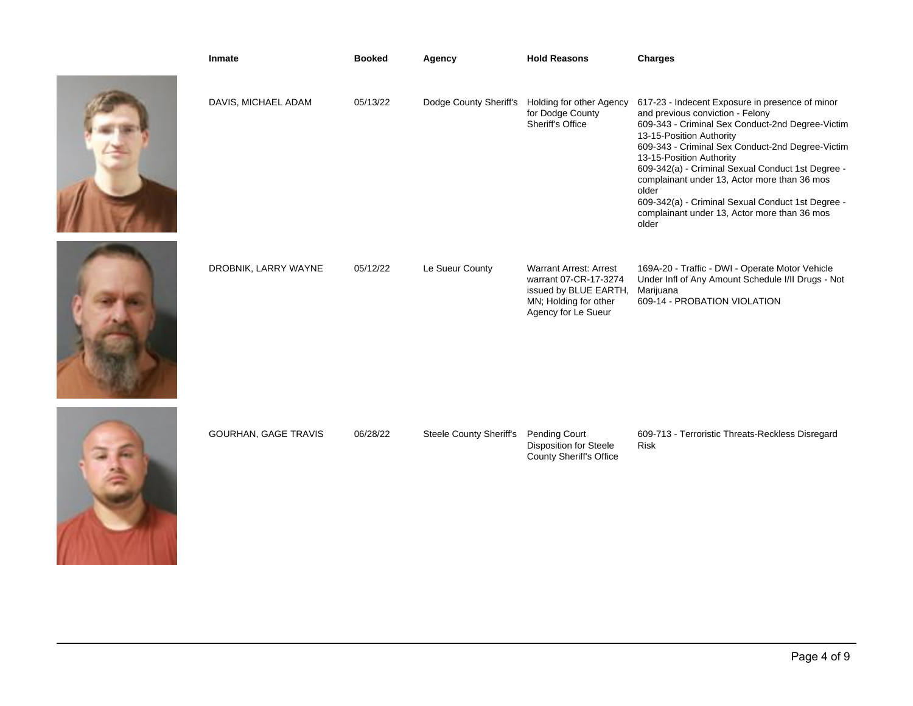| Inmate                      | <b>Booked</b> | Agency                         | <b>Hold Reasons</b>                                                                                                             | <b>Charges</b>                                                                                                                                                                                                                                                                                                                                                                                                                                                                  |
|-----------------------------|---------------|--------------------------------|---------------------------------------------------------------------------------------------------------------------------------|---------------------------------------------------------------------------------------------------------------------------------------------------------------------------------------------------------------------------------------------------------------------------------------------------------------------------------------------------------------------------------------------------------------------------------------------------------------------------------|
| DAVIS, MICHAEL ADAM         | 05/13/22      |                                | Dodge County Sheriff's Holding for other Agency<br>for Dodge County<br>Sheriff's Office                                         | 617-23 - Indecent Exposure in presence of minor<br>and previous conviction - Felony<br>609-343 - Criminal Sex Conduct-2nd Degree-Victim<br>13-15-Position Authority<br>609-343 - Criminal Sex Conduct-2nd Degree-Victim<br>13-15-Position Authority<br>609-342(a) - Criminal Sexual Conduct 1st Degree -<br>complainant under 13, Actor more than 36 mos<br>older<br>609-342(a) - Criminal Sexual Conduct 1st Degree -<br>complainant under 13, Actor more than 36 mos<br>older |
| DROBNIK, LARRY WAYNE        | 05/12/22      | Le Sueur County                | <b>Warrant Arrest: Arrest</b><br>warrant 07-CR-17-3274<br>issued by BLUE EARTH,<br>MN; Holding for other<br>Agency for Le Sueur | 169A-20 - Traffic - DWI - Operate Motor Vehicle<br>Under Infl of Any Amount Schedule I/II Drugs - Not<br>Marijuana<br>609-14 - PROBATION VIOLATION                                                                                                                                                                                                                                                                                                                              |
| <b>GOURHAN, GAGE TRAVIS</b> | 06/28/22      | <b>Steele County Sheriff's</b> | Pending Court<br><b>Disposition for Steele</b><br><b>County Sheriff's Office</b>                                                | 609-713 - Terroristic Threats-Reckless Disregard<br><b>Risk</b>                                                                                                                                                                                                                                                                                                                                                                                                                 |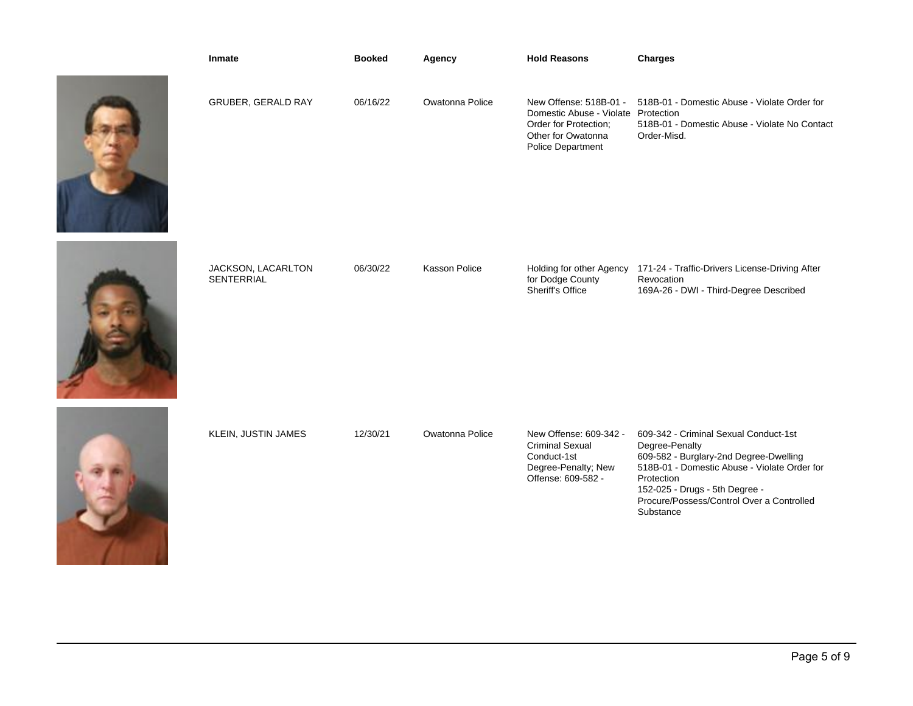| Inmate                                  | <b>Booked</b> | Agency               | <b>Hold Reasons</b>                                                                                                               | <b>Charges</b>                                                                                                                                                                                                                                              |
|-----------------------------------------|---------------|----------------------|-----------------------------------------------------------------------------------------------------------------------------------|-------------------------------------------------------------------------------------------------------------------------------------------------------------------------------------------------------------------------------------------------------------|
| GRUBER, GERALD RAY                      | 06/16/22      | Owatonna Police      | New Offense: 518B-01 -<br>Domestic Abuse - Violate Protection<br>Order for Protection;<br>Other for Owatonna<br>Police Department | 518B-01 - Domestic Abuse - Violate Order for<br>518B-01 - Domestic Abuse - Violate No Contact<br>Order-Misd.                                                                                                                                                |
| JACKSON, LACARLTON<br><b>SENTERRIAL</b> | 06/30/22      | <b>Kasson Police</b> | Holding for other Agency<br>for Dodge County<br>Sheriff's Office                                                                  | 171-24 - Traffic-Drivers License-Driving After<br>Revocation<br>169A-26 - DWI - Third-Degree Described                                                                                                                                                      |
| KLEIN, JUSTIN JAMES                     | 12/30/21      | Owatonna Police      | New Offense: 609-342 -<br><b>Criminal Sexual</b><br>Conduct-1st<br>Degree-Penalty; New<br>Offense: 609-582 -                      | 609-342 - Criminal Sexual Conduct-1st<br>Degree-Penalty<br>609-582 - Burglary-2nd Degree-Dwelling<br>518B-01 - Domestic Abuse - Violate Order for<br>Protection<br>152-025 - Drugs - 5th Degree -<br>Procure/Possess/Control Over a Controlled<br>Substance |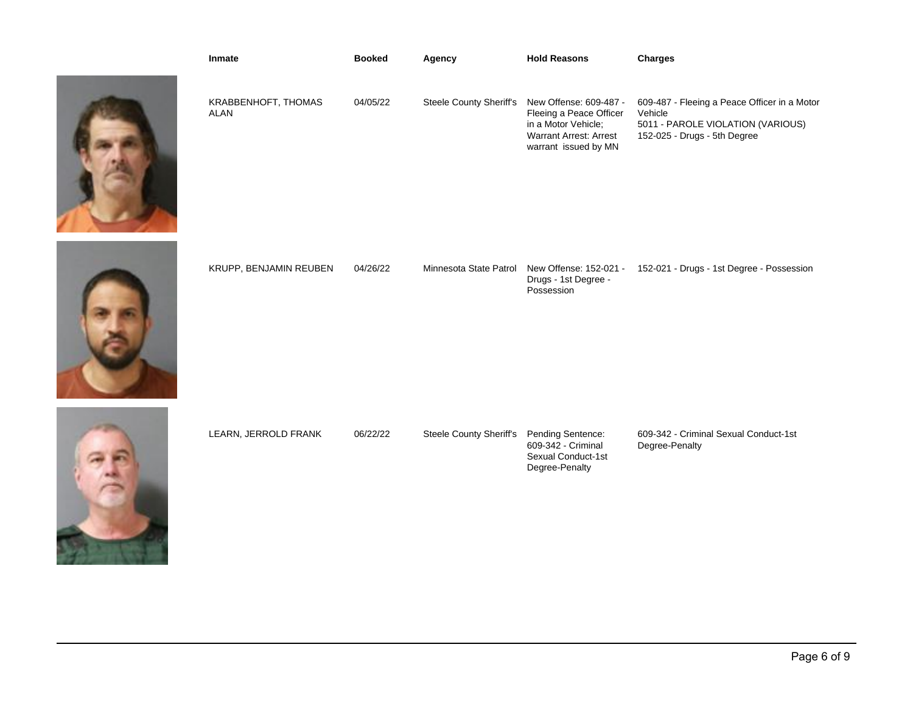| Inmate                             | <b>Booked</b> | Agency                         | <b>Hold Reasons</b>                                                                                                               | <b>Charges</b>                                                                                                               |
|------------------------------------|---------------|--------------------------------|-----------------------------------------------------------------------------------------------------------------------------------|------------------------------------------------------------------------------------------------------------------------------|
| KRABBENHOFT, THOMAS<br><b>ALAN</b> | 04/05/22      | <b>Steele County Sheriff's</b> | New Offense: 609-487 -<br>Fleeing a Peace Officer<br>in a Motor Vehicle;<br><b>Warrant Arrest: Arrest</b><br>warrant issued by MN | 609-487 - Fleeing a Peace Officer in a Motor<br>Vehicle<br>5011 - PAROLE VIOLATION (VARIOUS)<br>152-025 - Drugs - 5th Degree |
| KRUPP, BENJAMIN REUBEN             | 04/26/22      | Minnesota State Patrol         | New Offense: 152-021 -<br>Drugs - 1st Degree -<br>Possession                                                                      | 152-021 - Drugs - 1st Degree - Possession                                                                                    |
| LEARN, JERROLD FRANK               | 06/22/22      | <b>Steele County Sheriff's</b> | Pending Sentence:<br>609-342 - Criminal<br>Sexual Conduct-1st<br>Degree-Penalty                                                   | 609-342 - Criminal Sexual Conduct-1st<br>Degree-Penalty                                                                      |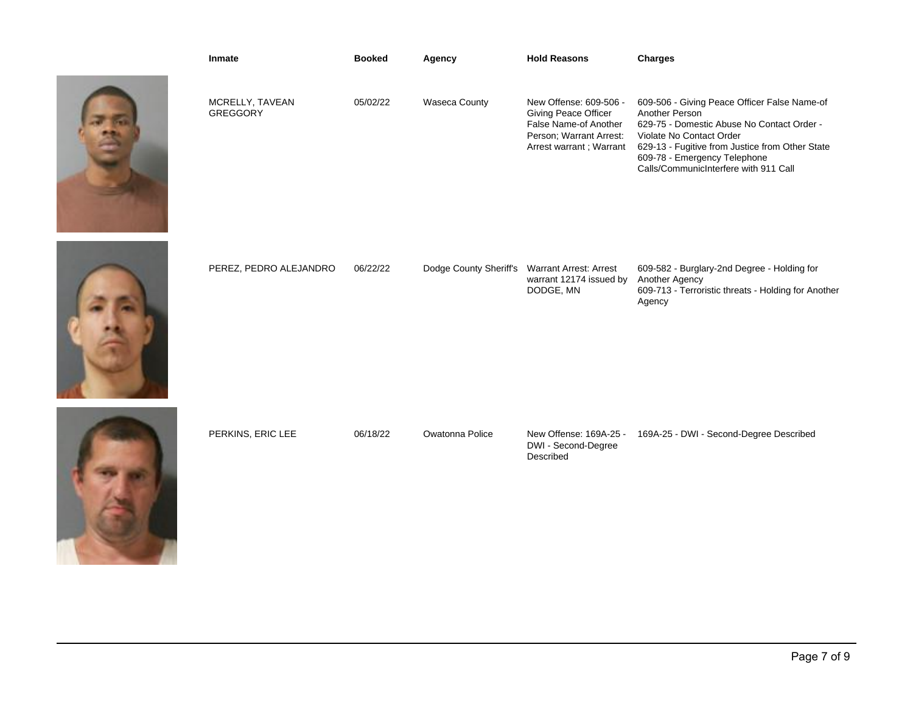| Inmate                             | <b>Booked</b> | Agency                 | <b>Hold Reasons</b>                                                                                                                  | <b>Charges</b>                                                                                                                                                                                                                                                       |
|------------------------------------|---------------|------------------------|--------------------------------------------------------------------------------------------------------------------------------------|----------------------------------------------------------------------------------------------------------------------------------------------------------------------------------------------------------------------------------------------------------------------|
| MCRELLY, TAVEAN<br><b>GREGGORY</b> | 05/02/22      | <b>Waseca County</b>   | New Offense: 609-506 -<br><b>Giving Peace Officer</b><br>False Name-of Another<br>Person; Warrant Arrest:<br>Arrest warrant; Warrant | 609-506 - Giving Peace Officer False Name-of<br>Another Person<br>629-75 - Domestic Abuse No Contact Order -<br>Violate No Contact Order<br>629-13 - Fugitive from Justice from Other State<br>609-78 - Emergency Telephone<br>Calls/CommunicInterfere with 911 Call |
| PEREZ, PEDRO ALEJANDRO             | 06/22/22      | Dodge County Sheriff's | <b>Warrant Arrest: Arrest</b><br>warrant 12174 issued by<br>DODGE, MN                                                                | 609-582 - Burglary-2nd Degree - Holding for<br>Another Agency<br>609-713 - Terroristic threats - Holding for Another<br>Agency                                                                                                                                       |
| PERKINS, ERIC LEE                  | 06/18/22      | Owatonna Police        | New Offense: 169A-25 -<br>DWI - Second-Degree<br>Described                                                                           | 169A-25 - DWI - Second-Degree Described                                                                                                                                                                                                                              |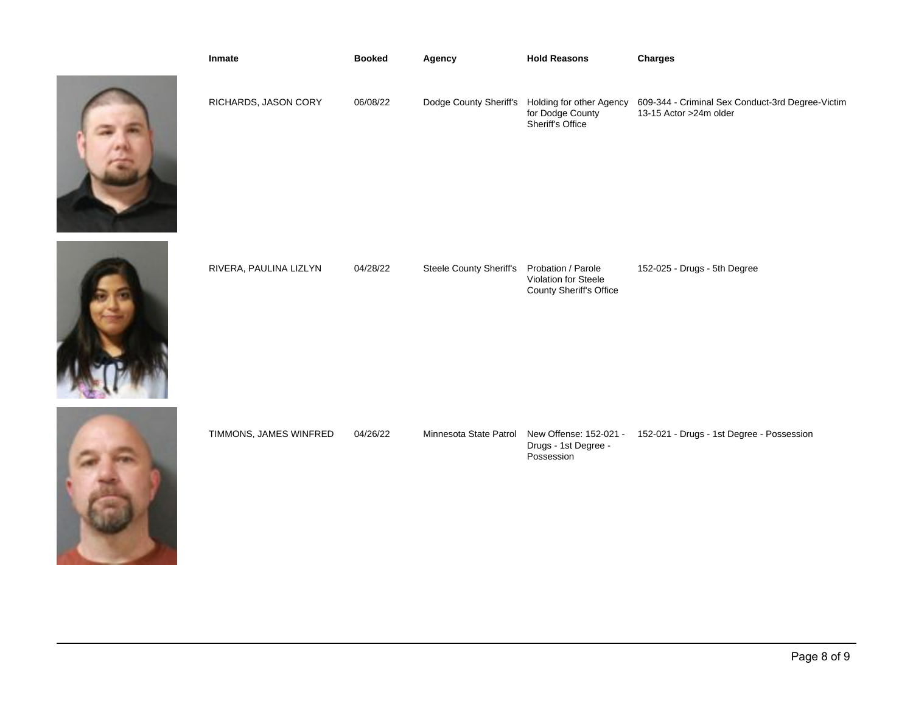| Inmate                 | <b>Booked</b> | Agency                         | <b>Hold Reasons</b>                                                   | <b>Charges</b>                                                              |
|------------------------|---------------|--------------------------------|-----------------------------------------------------------------------|-----------------------------------------------------------------------------|
| RICHARDS, JASON CORY   | 06/08/22      | Dodge County Sheriff's         | Holding for other Agency<br>for Dodge County<br>Sheriff's Office      | 609-344 - Criminal Sex Conduct-3rd Degree-Victim<br>13-15 Actor > 24m older |
| RIVERA, PAULINA LIZLYN | 04/28/22      | <b>Steele County Sheriff's</b> | Probation / Parole<br>Violation for Steele<br>County Sheriff's Office | 152-025 - Drugs - 5th Degree                                                |
| TIMMONS, JAMES WINFRED | 04/26/22      | Minnesota State Patrol         | New Offense: 152-021 -<br>Drugs - 1st Degree -<br>Possession          | 152-021 - Drugs - 1st Degree - Possession                                   |